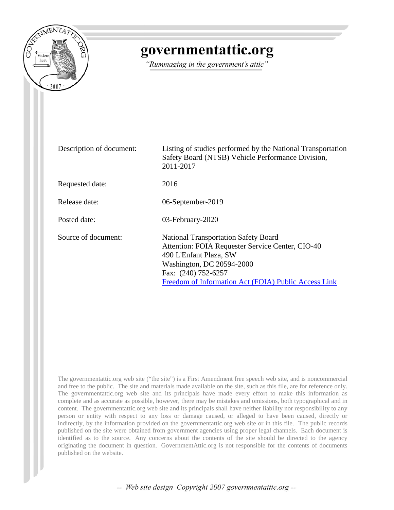

## governmentattic.org

"Rummaging in the government's attic"

| Description of document: | Listing of studies performed by the National Transportation<br>Safety Board (NTSB) Vehicle Performance Division,<br>2011-2017                                                                                                         |
|--------------------------|---------------------------------------------------------------------------------------------------------------------------------------------------------------------------------------------------------------------------------------|
| Requested date:          | 2016                                                                                                                                                                                                                                  |
| Release date:            | 06-September-2019                                                                                                                                                                                                                     |
| Posted date:             | 03-February-2020                                                                                                                                                                                                                      |
| Source of document:      | <b>National Transportation Safety Board</b><br>Attention: FOIA Requester Service Center, CIO-40<br>490 L'Enfant Plaza, SW<br>Washington, DC 20594-2000<br>Fax: (240) 752-6257<br>Freedom of Information Act (FOIA) Public Access Link |

The governmentattic.org web site ("the site") is a First Amendment free speech web site, and is noncommercial and free to the public. The site and materials made available on the site, such as this file, are for reference only. The governmentattic.org web site and its principals have made every effort to make this information as complete and as accurate as possible, however, there may be mistakes and omissions, both typographical and in content. The governmentattic.org web site and its principals shall have neither liability nor responsibility to any person or entity with respect to any loss or damage caused, or alleged to have been caused, directly or indirectly, by the information provided on the governmentattic.org web site or in this file. The public records published on the site were obtained from government agencies using proper legal channels. Each document is identified as to the source. Any concerns about the contents of the site should be directed to the agency originating the document in question. GovernmentAttic.org is not responsible for the contents of documents published on the website.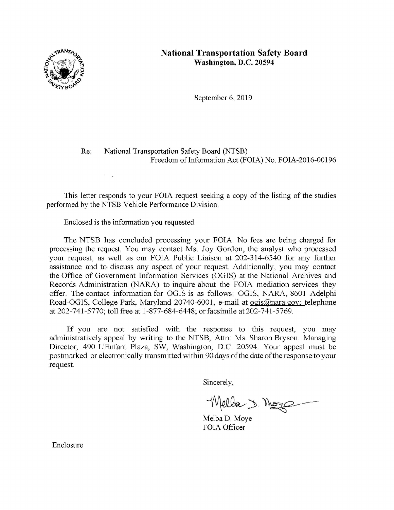

## **National Transportation Safety Board Washington, D.C. 20594**

September 6, 2019

## Re: National Transportation Safety Board (NTSB) Freedom of Information Act (FOIA) No. FOIA-2016-00196

This letter responds to your FOIA request seeking a copy of the listing of the studies performed by the NTSB Vehicle Performance Division.

Enclosed is the information you requested.

 $\tau = \frac{1}{2}$ 

The NTSB has concluded processing your FOIA. No fees are being charged for processing the request. You may contact Ms. Joy Gordon, the analyst who processed your request, as well as our FOIA Public Liaison at 202-314-6540 for any further assistance and to discuss any aspect of your request. Additionally, you may contact the Office of Government Information Services (OGIS) at the National Archives and Records Administration (NARA) to inquire about the FOIA mediation services they offer. The contact information for OGIS is as follows: OGIS, NARA, 8601 Adelphi Road-OGIS, College Park, Maryland 20740-6001, e-mail at ogis@nara.gov: telephone at 202-741-5770; toll free at 1-877-684-6448; orfacsimile at202-741-5769.

If you are not satisfied with the response to this request, you may administratively appeal by writing to the NTSB, Attn: Ms. Sharon Bryson, Managing Director, 490 L'Enfant Plaza, SW, Washington, D.C. 20594. Your appeal must be postmarked or electronically transmitted within 90 days of the date of the response to your request.

Sincerely,

Wella 1. Moye

Melba D. Moye FOIA Officer

Enclosure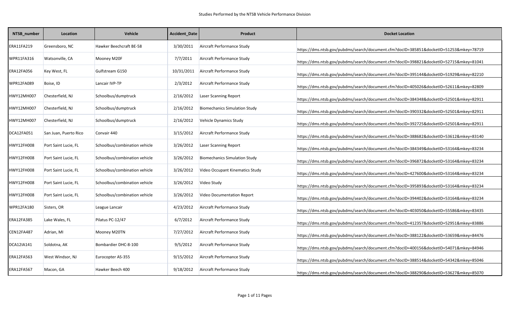| NTSB_number | Location              | <b>Vehicle</b>                | Accident_Date | <b>Product</b>                       | <b>Docket Location</b>                                                                 |
|-------------|-----------------------|-------------------------------|---------------|--------------------------------------|----------------------------------------------------------------------------------------|
| ERA11FA219  | Greensboro, NC        | Hawker Beechcraft BE-58       | 3/30/2011     | Aircraft Performance Study           | https://dms.ntsb.gov/pubdms/search/document.cfm?docID=385851&docketID=51253&mkey=78719 |
| WPR11FA316  | Watsonville, CA       | Mooney M20F                   | 7/7/2011      | Aircraft Performance Study           | https://dms.ntsb.gov/pubdms/search/document.cfm?docID=398821&docketID=52715&mkey=81041 |
| ERA12FA056  | Key West, FL          | Gulfstream G150               | 10/31/2011    | Aircraft Performance Study           | https://dms.ntsb.gov/pubdms/search/document.cfm?docID=395144&docketID=51929&mkey=82210 |
| WPR12FA089  | Boise, ID             | Lancair IVP-TP                | 2/3/2012      | Aircraft Performance Study           | https://dms.ntsb.gov/pubdms/search/document.cfm?docID=405026&docketID=52611&mkey=82809 |
| HWY12MH007  | Chesterfield, NJ      | Schoolbus/dumptruck           | 2/16/2012     | Laser Scanning Report                | https://dms.ntsb.gov/pubdms/search/document.cfm?docID=384348&docketID=52501&mkey=82911 |
| HWY12MH007  | Chesterfield, NJ      | Schoolbus/dumptruck           | 2/16/2012     | <b>Biomechanics Simulation Study</b> | https://dms.ntsb.gov/pubdms/search/document.cfm?docID=390332&docketID=52501&mkey=82911 |
| HWY12MH007  | Chesterfield, NJ      | Schoolbus/dumptruck           | 2/16/2012     | Vehicle Dynamics Study               | https://dms.ntsb.gov/pubdms/search/document.cfm?docID=392725&docketID=52501&mkey=82911 |
| DCA12FA051  | San Juan, Puerto Rico | Convair 440                   | 3/15/2012     | Aircraft Performance Study           | https://dms.ntsb.gov/pubdms/search/document.cfm?docID=388682&docketID=53612&mkey=83140 |
| HWY12FH008  | Port Saint Lucie, FL  | Schoolbus/combination vehicle | 3/26/2012     | Laser Scanning Report                | https://dms.ntsb.gov/pubdms/search/document.cfm?docID=384349&docketID=53164&mkey=83234 |
| HWY12FH008  | Port Saint Lucie, FL  | Schoolbus/combination vehicle | 3/26/2012     | <b>Biomechanics Simulation Study</b> | https://dms.ntsb.gov/pubdms/search/document.cfm?docID=396872&docketID=53164&mkey=83234 |
| HWY12FH008  | Port Saint Lucie, FL  | Schoolbus/combination vehicle | 3/26/2012     | Video Occupant Kinematics Study      | https://dms.ntsb.gov/pubdms/search/document.cfm?docID=427600&docketID=53164&mkey=83234 |
| HWY12FH008  | Port Saint Lucie, FL  | Schoolbus/combination vehicle | 3/26/2012     | Video Study                          | https://dms.ntsb.gov/pubdms/search/document.cfm?docID=395893&docketID=53164&mkey=83234 |
| HWY12FH008  | Port Saint Lucie, FL  | Schoolbus/combination vehicle | 3/26/2012     | <b>Video Documentation Report</b>    | https://dms.ntsb.gov/pubdms/search/document.cfm?docID=394402&docketID=53164&mkey=83234 |
| WPR12FA180  | Sisters, OR           | League Lancair                | 4/23/2012     | Aircraft Performance Study           | https://dms.ntsb.gov/pubdms/search/document.cfm?docID=403050&docketID=55586&mkey=83435 |
| ERA12FA385  | Lake Wales, FL        | Pilatus PC-12/47              | 6/7/2012      | Aircraft Performance Study           | https://dms.ntsb.gov/pubdms/search/document.cfm?docID=412357&docketID=52951&mkey=83886 |
| CEN12FA487  | Adrian, MI            | Mooney M20TN                  | 7/27/2012     | Aircraft Performance Study           | https://dms.ntsb.gov/pubdms/search/document.cfm?docID=388122&docketID=53659&mkey=84476 |
| DCA12IA141  | Soldotna, AK          | Bombardier DHC-8-100          | 9/5/2012      | Aircraft Performance Study           | https://dms.ntsb.gov/pubdms/search/document.cfm?docID=400156&docketID=54071&mkey=84946 |
| ERA12FA563  | West Windsor, NJ      | Eurocopter AS-355             | 9/15/2012     | Aircraft Performance Study           | https://dms.ntsb.gov/pubdms/search/document.cfm?docID=388514&docketID=54342&mkey=85046 |
| ERA12FA567  | Macon, GA             | Hawker Beech 400              | 9/18/2012     | Aircraft Performance Study           | https://dms.ntsb.gov/pubdms/search/document.cfm?docID=388290&docketID=53627&mkey=85070 |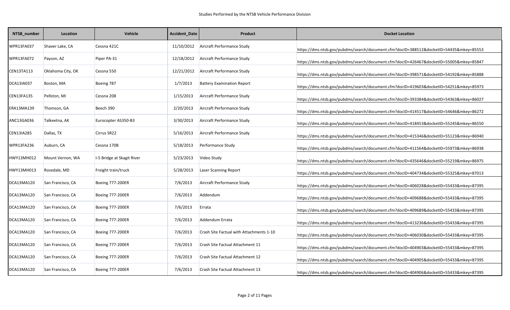| NTSB_number | Location          | Vehicle                    | <b>Accident_Date</b> | <b>Product</b>                           | <b>Docket Location</b>                                                                 |
|-------------|-------------------|----------------------------|----------------------|------------------------------------------|----------------------------------------------------------------------------------------|
| WPR13FA037  | Shaver Lake, CA   | Cessna 421C                | 11/10/2012           | Aircraft Performance Study               | https://dms.ntsb.gov/pubdms/search/document.cfm?docID=388512&docketID=54435&mkey=85553 |
| WPR13FA072  | Payson, AZ        | Piper PA-31                | 12/18/2012           | Aircraft Performance Study               | https://dms.ntsb.gov/pubdms/search/document.cfm?docID=426467&docketID=55005&mkey=85847 |
| CEN13TA113  | Oklahoma City, OK | Cessna 550                 | 12/21/2012           | Aircraft Performance Study               | https://dms.ntsb.gov/pubdms/search/document.cfm?docID=398571&docketID=54192&mkey=85888 |
| DCA13IA037  | Boston, MA        | Boeing 787                 | 1/7/2013             | <b>Battery Examination Report</b>        | https://dms.ntsb.gov/pubdms/search/document.cfm?docID=419603&docketID=54251&mkey=85973 |
| CEN13FA135  | Pellston, MI      | Cessna 208                 | 1/15/2013            | Aircraft Performance Study               | https://dms.ntsb.gov/pubdms/search/document.cfm?docID=393384&docketID=54363&mkey=86027 |
| ERA13MA139  | Thomson, GA       | Beech 390                  | 2/20/2013            | Aircraft Performance Study               | https://dms.ntsb.gov/pubdms/search/document.cfm?docID=414517&docketID=54646&mkey=86272 |
| ANC13GA036  | Talkeetna, AK     | Eurocopter AS350-B3        | 3/30/2013            | Aircraft Performance Study               | https://dms.ntsb.gov/pubdms/search/document.cfm?docID=418453&docketID=55245&mkey=86550 |
| CEN13IA285  | Dallas, TX        | Cirrus SR22                | 5/16/2013            | Aircraft Performance Study               | https://dms.ntsb.gov/pubdms/search/document.cfm?docID=415346&docketID=55123&mkey=86940 |
| WPR13FA236  | Auburn, CA        | Cessna 170B                | 5/18/2013            | Performance Study                        | https://dms.ntsb.gov/pubdms/search/document.cfm?docID=411564&docketID=55973&mkey=86938 |
| HWY13MH012  | Mount Vernon, WA  | I-5 Bridge at Skagit River | 5/23/2013            | Video Study                              | https://dms.ntsb.gov/pubdms/search/document.cfm?docID=435646&docketID=55219&mkey=86975 |
| HWY13MH013  | Rosedale, MD      | Freight train/truck        | 5/28/2013            | Laser Scanning Report                    | https://dms.ntsb.gov/pubdms/search/document.cfm?docID=404734&docketID=55325&mkey=87013 |
| DCA13MA120  | San Francisco, CA | Boeing 777-200ER           | 7/6/2013             | Aircraft Performance Study               | https://dms.ntsb.gov/pubdms/search/document.cfm?docID=406028&docketID=55433&mkey=87395 |
| DCA13MA120  | San Francisco, CA | Boeing 777-200ER           | 7/6/2013             | Addendum                                 | https://dms.ntsb.gov/pubdms/search/document.cfm?docID=409688&docketID=55433&mkey=87395 |
| DCA13MA120  | San Francisco, CA | <b>Boeing 777-200ER</b>    | 7/6/2013             | Errata                                   | https://dms.ntsb.gov/pubdms/search/document.cfm?docID=409689&docketID=55433&mkey=87395 |
| DCA13MA120  | San Francisco, CA | <b>Boeing 777-200ER</b>    | 7/6/2013             | Addendum Errata                          | https://dms.ntsb.gov/pubdms/search/document.cfm?docID=413236&docketID=55433&mkey=87395 |
| DCA13MA120  | San Francisco, CA | Boeing 777-200ER           | 7/6/2013             | Crash Site Factual with Attachments 1-10 | https://dms.ntsb.gov/pubdms/search/document.cfm?docID=406030&docketID=55433&mkey=87395 |
| DCA13MA120  | San Francisco, CA | Boeing 777-200ER           | 7/6/2013             | Crash Site Factual Attachment 11         | https://dms.ntsb.gov/pubdms/search/document.cfm?docID=404903&docketID=55433&mkey=87395 |
| DCA13MA120  | San Francisco, CA | <b>Boeing 777-200ER</b>    | 7/6/2013             | Crash Site Factual Attachment 12         | https://dms.ntsb.gov/pubdms/search/document.cfm?docID=404905&docketID=55433&mkey=87395 |
| DCA13MA120  | San Francisco, CA | Boeing 777-200ER           | 7/6/2013             | Crash Site Factual Attachment 13         | https://dms.ntsb.gov/pubdms/search/document.cfm?docID=404906&docketID=55433&mkey=87395 |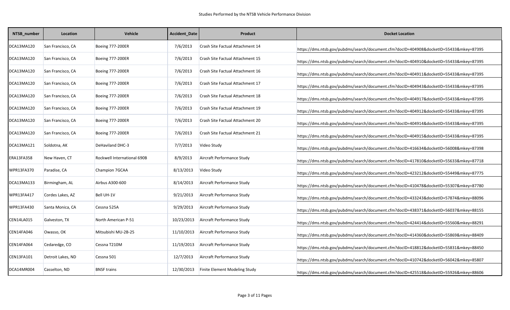| NTSB_number       | Location          | <b>Vehicle</b>              | Accident_Date | Product                              | <b>Docket Location</b>                                                                 |
|-------------------|-------------------|-----------------------------|---------------|--------------------------------------|----------------------------------------------------------------------------------------|
| DCA13MA120        | San Francisco, CA | <b>Boeing 777-200ER</b>     | 7/6/2013      | Crash Site Factual Attachment 14     | https://dms.ntsb.gov/pubdms/search/document.cfm?docID=404908&docketID=55433&mkey=87395 |
| DCA13MA120        | San Francisco, CA | <b>Boeing 777-200ER</b>     | 7/6/2013      | Crash Site Factual Attachment 15     | https://dms.ntsb.gov/pubdms/search/document.cfm?docID=404910&docketID=55433&mkey=87395 |
| DCA13MA120        | San Francisco, CA | <b>Boeing 777-200ER</b>     | 7/6/2013      | Crash Site Factual Attachment 16     | https://dms.ntsb.gov/pubdms/search/document.cfm?docID=404911&docketID=55433&mkey=87395 |
| DCA13MA120        | San Francisco, CA | <b>Boeing 777-200ER</b>     | 7/6/2013      | Crash Site Factual Attachment 17     | https://dms.ntsb.gov/pubdms/search/document.cfm?docID=404943&docketID=55433&mkey=87395 |
| DCA13MA120        | San Francisco, CA | <b>Boeing 777-200ER</b>     | 7/6/2013      | Crash Site Factual Attachment 18     | https://dms.ntsb.gov/pubdms/search/document.cfm?docID=404917&docketID=55433&mkey=87395 |
| DCA13MA120        | San Francisco, CA | <b>Boeing 777-200ER</b>     | 7/6/2013      | Crash Site Factual Attachment 19     | https://dms.ntsb.gov/pubdms/search/document.cfm?docID=404912&docketID=55433&mkey=87395 |
| DCA13MA120        | San Francisco, CA | <b>Boeing 777-200ER</b>     | 7/6/2013      | Crash Site Factual Attachment 20     | https://dms.ntsb.gov/pubdms/search/document.cfm?docID=404914&docketID=55433&mkey=87395 |
| DCA13MA120        | San Francisco, CA | <b>Boeing 777-200ER</b>     | 7/6/2013      | Crash Site Factual Attachment 21     | https://dms.ntsb.gov/pubdms/search/document.cfm?docID=404915&docketID=55433&mkey=87395 |
| DCA13MA121        | Soldotna, AK      | <b>DeHaviland DHC-3</b>     | 7/7/2013      | Video Study                          | https://dms.ntsb.gov/pubdms/search/document.cfm?docID=416634&docketID=56008&mkey=87398 |
| <b>ERA13FA358</b> | New Haven, CT     | Rockwell International 690B | 8/9/2013      | Aircraft Performance Study           | https://dms.ntsb.gov/pubdms/search/document.cfm?docID=417810&docketID=55633&mkey=87718 |
| WPR13FA370        | Paradise, CA      | Champion 7GCAA              | 8/13/2013     | Video Study                          | https://dms.ntsb.gov/pubdms/search/document.cfm?docID=423212&docketID=55449&mkey=87775 |
| DCA13MA133        | Birmingham, AL    | Airbus A300-600             | 8/14/2013     | Aircraft Performance Study           | https://dms.ntsb.gov/pubdms/search/document.cfm?docID=410478&docketID=55307&mkey=87780 |
| WPR13FA417        | Cordes Lakes, AZ  | <b>Bell UH-1V</b>           | 9/21/2013     | Aircraft Performance Study           | https://dms.ntsb.gov/pubdms/search/document.cfm?docID=433243&docketID=57874&mkey=88096 |
| WPR13FA430        | Santa Monica, CA  | Cessna 525A                 | 9/29/2013     | Aircraft Performance Study           | https://dms.ntsb.gov/pubdms/search/document.cfm?docID=438371&docketID=56037&mkey=88155 |
| CEN14LA015        | Galveston, TX     | North American P-51         | 10/23/2013    | Aircraft Performance Study           | https://dms.ntsb.gov/pubdms/search/document.cfm?docID=424414&docketID=55560&mkey=88291 |
| CEN14FA046        | Owasso, OK        | Mitsubishi MU-2B-25         | 11/10/2013    | Aircraft Performance Study           | https://dms.ntsb.gov/pubdms/search/document.cfm?docID=414360&docketID=55869&mkey=88409 |
| CEN14FA064        | Cedaredge, CO     | Cessna T210M                | 11/19/2013    | Aircraft Performance Study           | https://dms.ntsb.gov/pubdms/search/document.cfm?docID=418812&docketID=55831&mkey=88450 |
| CEN13FA101        | Detroit Lakes, ND | Cessna 501                  | 12/7/2013     | Aircraft Performance Study           | https://dms.ntsb.gov/pubdms/search/document.cfm?docID=410742&docketID=56042&mkey=85807 |
| DCA14MR004        | Casselton, ND     | <b>BNSF trains</b>          | 12/30/2013    | <b>Finite Element Modeling Study</b> | https://dms.ntsb.gov/pubdms/search/document.cfm?docID=425518&docketID=55926&mkey=88606 |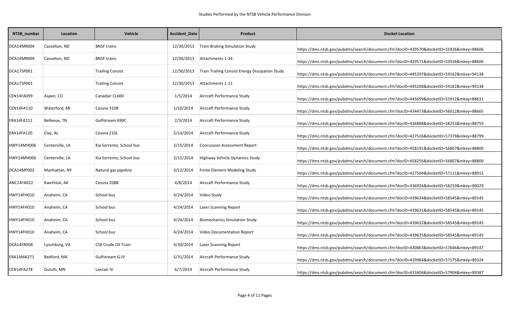| NTSB_number | Location        | Vehicle                    | Accident_Date | Product                                         | <b>Docket Location</b>                                                                 |
|-------------|-----------------|----------------------------|---------------|-------------------------------------------------|----------------------------------------------------------------------------------------|
| DCA14MR004  | Casselton, ND   | <b>BNSF trains</b>         | 12/30/2013    | <b>Train Braking Simulation Study</b>           | https://dms.ntsb.gov/pubdms/search/document.cfm?docID=429570&docketID=55926&mkey=88606 |
| DCA14MR004  | Casselton, ND   | <b>BNSF trains</b>         | 12/30/2013    | Attachments 1-34                                | https://dms.ntsb.gov/pubdms/search/document.cfm?docID=429571&docketID=55926&mkey=88606 |
| DCA17SP001  |                 | <b>Trailing Consist</b>    | 12/30/2013    | Train Trailing Consist Energy Dissipation Study | https://dms.ntsb.gov/pubdms/search/document.cfm?docID=445207&docketID=59162&mkey=94138 |
| DCA17SP001  |                 | <b>Trailing Consist</b>    | 12/30/2013    | Attachments 1-11                                | https://dms.ntsb.gov/pubdms/search/document.cfm?docID=445208&docketID=59162&mkey=94138 |
| CEN14FA099  | Aspen, CO       | Canadair CL600             | 1/5/2014      | Aircraft Performance Study                      | https://dms.ntsb.gov/pubdms/search/document.cfm?docID=445699&docketID=55912&mkey=88631 |
| CEN14FA110  | Waterford, MI   | Cessna 310R                | 1/10/2014     | Aircraft Performance Study                      | https://dms.ntsb.gov/pubdms/search/document.cfm?docID=434473&docketID=56012&mkey=88665 |
| ERA14FA112  | Bellevue, TN    | Gulfstream 690C            | 2/3/2014      | Aircraft Performance Study                      | https://dms.ntsb.gov/pubdms/search/document.cfm?docID=436888&docketID=58253&mkey=88759 |
| ERA14FA120  | Clay, AL        | Cessna 210L                | 2/14/2014     | Aircraft Performance Study                      | https://dms.ntsb.gov/pubdms/search/document.cfm?docID=427526&docketID=57379&mkey=88799 |
| HWY14MH006  | Centerville, LA | Kia Sorrento, School bus   | 2/15/2014     | <b>Concussion Assessment Report</b>             | https://dms.ntsb.gov/pubdms/search/document.cfm?docID=458191&docketID=56807&mkey=88800 |
| HWY14MH006  | Centerville, LA | Kia Sorrento, School bus   | 2/15/2014     | Highway Vehicle Dynamics Study                  | https://dms.ntsb.gov/pubdms/search/document.cfm?docID=458256&docketID=56807&mkey=88800 |
| DCA14MP002  | Manhattan, NY   | Natural gas pipeline       | 3/12/2014     | Finite Element Modeling Study                   | https://dms.ntsb.gov/pubdms/search/document.cfm?docID=427504&docketID=57111&mkey=88915 |
| ANC14FA022  | Kwethluk, AK    | Cessna 208B                | 4/8/2014      | Aircraft Performance Study                      | https://dms.ntsb.gov/pubdms/search/document.cfm?docID=436926&docketID=58259&mkey=89029 |
| HWY14FH010  | Anaheim, CA     | School bus                 | 4/24/2014     | Video Study                                     | https://dms.ntsb.gov/pubdms/search/document.cfm?docID=439634&docketID=58545&mkey=89145 |
| HWY14FH010  | Anaheim, CA     | School bus                 | 4/24/2014     | Laser Scanning Report                           | https://dms.ntsb.gov/pubdms/search/document.cfm?docID=439631&docketID=58545&mkey=89145 |
| HWY14FH010  | Anaheim, CA     | School bus                 | 4/24/2014     | <b>Biomechanics Simulation Study</b>            | https://dms.ntsb.gov/pubdms/search/document.cfm?docID=439632&docketID=58545&mkey=89145 |
| HWY14FH010  | Anaheim, CA     | School bus                 | 4/24/2014     | Video Documentation Report                      | https://dms.ntsb.gov/pubdms/search/document.cfm?docID=439635&docketID=58545&mkey=89145 |
| DCA14FR008  | Lynchburg, VA   | <b>CSX Crude Oil Train</b> | 4/30/2014     | Laser Scanning Report                           | https://dms.ntsb.gov/pubdms/search/document.cfm?docID=430863&docketID=57646&mkey=89147 |
| ERA14MA271  | Bedford, MA     | Gulfstream G-IV            | 5/31/2014     | Aircraft Performance Study                      | https://dms.ntsb.gov/pubdms/search/document.cfm?docID=429984&docketID=57175&mkey=89324 |
| CEN14FA278  | Duluth, MN      | Lancair IV                 | 6/7/2014      | Aircraft Performance Study                      | https://dms.ntsb.gov/pubdms/search/document.cfm?docID=433404&docketID=57904&mkey=89387 |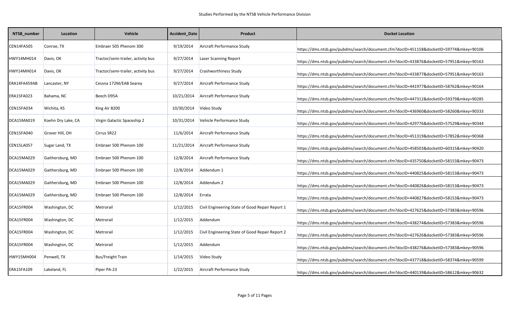| NTSB_number  | Location           | <b>Vehicle</b>                     | Accident_Date | Product                                         | <b>Docket Location</b>                                                                 |
|--------------|--------------------|------------------------------------|---------------|-------------------------------------------------|----------------------------------------------------------------------------------------|
| CEN14FA505   | Conroe, TX         | Embraer 505 Phenom 300             | 9/19/2014     | Aircraft Performance Study                      | https://dms.ntsb.gov/pubdms/search/document.cfm?docID=451158&docketID=59774&mkey=90106 |
| HWY14MH014   | Davis, OK          | Tractor/semi-trailer, activity bus | 9/27/2014     | Laser Scanning Report                           | https://dms.ntsb.gov/pubdms/search/document.cfm?docID=433876&docketID=57951&mkey=90163 |
| HWY14MH014   | Davis, OK          | Tractor/semi-trailer, activity bus | 9/27/2014     | Crashworthiness Study                           | https://dms.ntsb.gov/pubdms/search/document.cfm?docID=433877&docketID=57951&mkey=90163 |
| ERA14FA459AB | Lancaster, NY      | Cessna 172M/EAB Searey             | 9/27/2014     | Aircraft Performance Study                      | https://dms.ntsb.gov/pubdms/search/document.cfm?docID=441977&docketID=58762&mkey=90164 |
| ERA15FA023   | Bahama, NC         | Beech D95A                         | 10/21/2014    | Aircraft Performance Study                      | https://dms.ntsb.gov/pubdms/search/document.cfm?docID=447312&docketID=59379&mkey=90285 |
| CEN15FA034   | Wichita, KS        | King Air B200                      | 10/30/2014    | Video Study                                     | https://dms.ntsb.gov/pubdms/search/document.cfm?docID=436960&docketID=58260&mkey=90333 |
| DCA15MA019   | Koehn Dry Lake, CA | Virgin Galactic Spaceship 2        | 10/31/2014    | Vehicle Performance Study                       | https://dms.ntsb.gov/pubdms/search/document.cfm?docID=429776&docketID=57529&mkey=90344 |
| CEN15FA040   | Grover Hill, OH    | Cirrus SR22                        | 11/6/2014     | Aircraft Performance Study                      | https://dms.ntsb.gov/pubdms/search/document.cfm?docID=451319&docketID=57852&mkey=90368 |
| CEN15LA057   | Sugar Land, TX     | Embraer 500 Phenom 100             | 11/21/2014    | Aircraft Performance Study                      | https://dms.ntsb.gov/pubdms/search/document.cfm?docID=458503&docketID=60315&mkey=90420 |
| DCA15MA029   | Gaithersburg, MD   | Embraer 500 Phenom 100             | 12/8/2014     | Aircraft Performance Study                      | https://dms.ntsb.gov/pubdms/search/document.cfm?docID=435750&docketID=58153&mkey=90473 |
| DCA15MA029   | Gaithersburg, MD   | Embraer 500 Phenom 100             | 12/8/2014     | Addendum 1                                      | https://dms.ntsb.gov/pubdms/search/document.cfm?docID=440825&docketID=58153&mkey=90473 |
| DCA15MA029   | Gaithersburg, MD   | Embraer 500 Phenom 100             | 12/8/2014     | Addendum 2                                      | https://dms.ntsb.gov/pubdms/search/document.cfm?docID=440826&docketID=58153&mkey=90473 |
| DCA15MA029   | Gaithersburg, MD   | Embraer 500 Phenom 100             | 12/8/2014     | Errata                                          | https://dms.ntsb.gov/pubdms/search/document.cfm?docID=440827&docketID=58153&mkey=90473 |
| DCA15FR004   | Washington, DC     | Metrorail                          | 1/12/2015     | Civil Engineering State of Good Repair Report 1 | https://dms.ntsb.gov/pubdms/search/document.cfm?docID=427625&docketID=57383&mkey=90596 |
| DCA15FR004   | Washington, DC     | Metrorail                          | 1/12/2015     | Addendum                                        | https://dms.ntsb.gov/pubdms/search/document.cfm?docID=438274&docketID=57383&mkey=90596 |
| DCA15FR004   | Washington, DC     | Metrorail                          | 1/12/2015     | Civil Engineering State of Good Repair Report 2 | https://dms.ntsb.gov/pubdms/search/document.cfm?docID=427626&docketID=57383&mkey=90596 |
| DCA15FR004   | Washington, DC     | Metrorail                          | 1/12/2015     | Addendum                                        | https://dms.ntsb.gov/pubdms/search/document.cfm?docID=438276&docketID=57383&mkey=90596 |
| HWY15MH004   | Penwell, TX        | <b>Bus/Freight Train</b>           | 1/14/2015     | Video Study                                     | https://dms.ntsb.gov/pubdms/search/document.cfm?docID=437718&docketID=58374&mkey=90599 |
| ERA15FA109   | Lakeland, FL       | Piper PA-23                        | 1/22/2015     | Aircraft Performance Study                      | https://dms.ntsb.gov/pubdms/search/document.cfm?docID=440139&docketID=58612&mkey=90632 |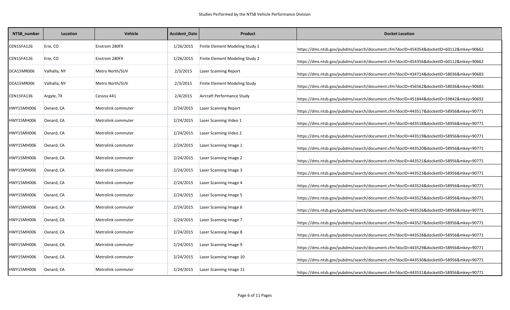| NTSB_number       | Location     | Vehicle              | Accident_Date | <b>Product</b>                  | <b>Docket Location</b>                                                                 |
|-------------------|--------------|----------------------|---------------|---------------------------------|----------------------------------------------------------------------------------------|
| CEN15FA126        | Erie, CO     | <b>Enstrom 280FX</b> | 1/26/2015     | Finite Element Modeling Study 1 | https://dms.ntsb.gov/pubdms/search/document.cfm?docID=454354&docketID=60112&mkey=90662 |
| CEN15FA126        | Erie, CO     | <b>Enstrom 280FX</b> | 1/26/2015     | Finite Element Modeling Study 2 | https://dms.ntsb.gov/pubdms/search/document.cfm?docID=454356&docketID=60112&mkey=90662 |
| DCA15MR006        | Valhalla, NY | Metro North/SUV      | 2/3/2015      | <b>Laser Scanning Report</b>    | https://dms.ntsb.gov/pubdms/search/document.cfm?docID=434714&docketID=58036&mkey=90683 |
| DCA15MR006        | Valhalla, NY | Metro North/SUV      | 2/3/2015      | Finite Element Modeling Study   | https://dms.ntsb.gov/pubdms/search/document.cfm?docID=456562&docketID=58036&mkey=90683 |
| CEN15FA136        | Argyle, TX   | Cessna 441           | 2/4/2015      | Aircraft Performance Study      | https://dms.ntsb.gov/pubdms/search/document.cfm?docID=451844&docketID=59842&mkey=90692 |
| HWY15MH006        | Oxnard, CA   | Metrolink commuter   | 2/24/2015     | Laser Scanning Report           | https://dms.ntsb.gov/pubdms/search/document.cfm?docID=443517&docketID=58956&mkey=90771 |
| HWY15MH006        | Oxnard, CA   | Metrolink commuter   | 2/24/2015     | Laser Scanning Video 1          | https://dms.ntsb.gov/pubdms/search/document.cfm?docID=443518&docketID=58956&mkey=90771 |
| HWY15MH006        | Oxnard, CA   | Metrolink commuter   | 2/24/2015     | Laser Scanning Video 2          | https://dms.ntsb.gov/pubdms/search/document.cfm?docID=443519&docketID=58956&mkey=90771 |
| <b>HWY15MH006</b> | Oxnard, CA   | Metrolink commuter   | 2/24/2015     | Laser Scanning Image 1          | https://dms.ntsb.gov/pubdms/search/document.cfm?docID=443520&docketID=58956&mkey=90771 |
| HWY15MH006        | Oxnard, CA   | Metrolink commuter   | 2/24/2015     | Laser Scanning Image 2          | https://dms.ntsb.gov/pubdms/search/document.cfm?docID=443521&docketID=58956&mkey=90771 |
| HWY15MH006        | Oxnard, CA   | Metrolink commuter   | 2/24/2015     | Laser Scanning Image 3          | https://dms.ntsb.gov/pubdms/search/document.cfm?docID=443523&docketID=58956&mkey=90771 |
| HWY15MH006        | Oxnard, CA   | Metrolink commuter   | 2/24/2015     | Laser Scanning Image 4          | https://dms.ntsb.gov/pubdms/search/document.cfm?docID=443524&docketID=58956&mkey=90771 |
| HWY15MH006        | Oxnard, CA   | Metrolink commuter   | 2/24/2015     | Laser Scanning Image 5          | https://dms.ntsb.gov/pubdms/search/document.cfm?docID=443525&docketID=58956&mkey=90771 |
| HWY15MH006        | Oxnard, CA   | Metrolink commuter   | 2/24/2015     | Laser Scanning Image 6          | https://dms.ntsb.gov/pubdms/search/document.cfm?docID=443526&docketID=58956&mkey=90771 |
| HWY15MH006        | Oxnard, CA   | Metrolink commuter   | 2/24/2015     | Laser Scanning Image 7          | https://dms.ntsb.gov/pubdms/search/document.cfm?docID=443527&docketID=58956&mkey=90771 |
| HWY15MH006        | Oxnard, CA   | Metrolink commuter   | 2/24/2015     | Laser Scanning Image 8          | https://dms.ntsb.gov/pubdms/search/document.cfm?docID=443528&docketID=58956&mkey=90771 |
| HWY15MH006        | Oxnard, CA   | Metrolink commuter   | 2/24/2015     | Laser Scanning Image 9          | https://dms.ntsb.gov/pubdms/search/document.cfm?docID=443529&docketID=58956&mkey=90771 |
| HWY15MH006        | Oxnard, CA   | Metrolink commuter   | 2/24/2015     | Laser Scanning Image 10         | https://dms.ntsb.gov/pubdms/search/document.cfm?docID=443530&docketID=58956&mkey=90771 |
| <b>HWY15MH006</b> | Oxnard, CA   | Metrolink commuter   | 2/24/2015     | Laser Scanning Image 11         | https://dms.ntsb.gov/pubdms/search/document.cfm?docID=443531&docketID=58956&mkey=90771 |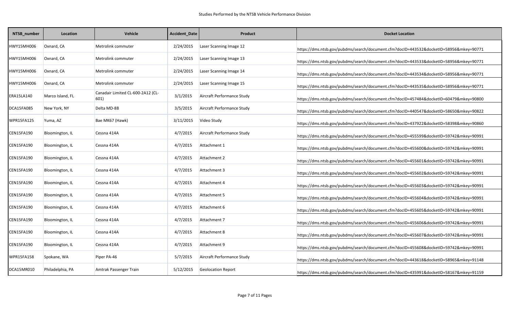| NTSB_number | Location         | <b>Vehicle</b>                            | Accident_Date | <b>Product</b>             | <b>Docket Location</b>                                                                 |
|-------------|------------------|-------------------------------------------|---------------|----------------------------|----------------------------------------------------------------------------------------|
| HWY15MH006  | Oxnard, CA       | Metrolink commuter                        | 2/24/2015     | Laser Scanning Image 12    | https://dms.ntsb.gov/pubdms/search/document.cfm?docID=443532&docketID=58956&mkey=90771 |
| HWY15MH006  | Oxnard, CA       | Metrolink commuter                        | 2/24/2015     | Laser Scanning Image 13    | https://dms.ntsb.gov/pubdms/search/document.cfm?docID=443533&docketID=58956&mkey=90771 |
| HWY15MH006  | Oxnard, CA       | Metrolink commuter                        | 2/24/2015     | Laser Scanning Image 14    | https://dms.ntsb.gov/pubdms/search/document.cfm?docID=443534&docketID=58956&mkey=90771 |
| HWY15MH006  | Oxnard, CA       | Metrolink commuter                        | 2/24/2015     | Laser Scanning Image 15    | https://dms.ntsb.gov/pubdms/search/document.cfm?docID=443535&docketID=58956&mkey=90771 |
| ERA15LA140  | Marco Island, FL | Canadair Limited CL-600-2A12 (CL-<br>601) | 3/1/2015      | Aircraft Performance Study | https://dms.ntsb.gov/pubdms/search/document.cfm?docID=457484&docketID=60479&mkey=90800 |
| DCA15FA085  | New York, NY     | Delta MD-88                               | 3/5/2015      | Aircraft Performance Study | https://dms.ntsb.gov/pubdms/search/document.cfm?docID=440547&docketID=58650&mkey=90822 |
| WPR15FA125  | Yuma, AZ         | Bae MK67 (Hawk)                           | 3/11/2015     | Video Study                | https://dms.ntsb.gov/pubdms/search/document.cfm?docID=437922&docketID=58398&mkey=90860 |
| CEN15FA190  | Bloomington, IL  | Cessna 414A                               | 4/7/2015      | Aircraft Performance Study | https://dms.ntsb.gov/pubdms/search/document.cfm?docID=455599&docketID=59742&mkey=90991 |
| CEN15FA190  | Bloomington, IL  | Cessna 414A                               | 4/7/2015      | Attachment 1               | https://dms.ntsb.gov/pubdms/search/document.cfm?docID=455600&docketID=59742&mkey=90991 |
| CEN15FA190  | Bloomington, IL  | Cessna 414A                               | 4/7/2015      | Attachment 2               | https://dms.ntsb.gov/pubdms/search/document.cfm?docID=455601&docketID=59742&mkey=90991 |
| CEN15FA190  | Bloomington, IL  | Cessna 414A                               | 4/7/2015      | Attachment 3               | https://dms.ntsb.gov/pubdms/search/document.cfm?docID=455602&docketID=59742&mkey=90991 |
| CEN15FA190  | Bloomington, IL  | Cessna 414A                               | 4/7/2015      | Attachment 4               | https://dms.ntsb.gov/pubdms/search/document.cfm?docID=455603&docketID=59742&mkey=90991 |
| CEN15FA190  | Bloomington, IL  | Cessna 414A                               | 4/7/2015      | Attachment 5               | https://dms.ntsb.gov/pubdms/search/document.cfm?docID=455604&docketID=59742&mkey=90991 |
| CEN15FA190  | Bloomington, IL  | Cessna 414A                               | 4/7/2015      | Attachment 6               | https://dms.ntsb.gov/pubdms/search/document.cfm?docID=455605&docketID=59742&mkey=90991 |
| CEN15FA190  | Bloomington, IL  | Cessna 414A                               | 4/7/2015      | Attachment 7               | https://dms.ntsb.gov/pubdms/search/document.cfm?docID=455606&docketID=59742&mkey=90991 |
| CEN15FA190  | Bloomington, IL  | Cessna 414A                               | 4/7/2015      | Attachment 8               | https://dms.ntsb.gov/pubdms/search/document.cfm?docID=455607&docketID=59742&mkey=90991 |
| CEN15FA190  | Bloomington, IL  | Cessna 414A                               | 4/7/2015      | Attachment 9               | https://dms.ntsb.gov/pubdms/search/document.cfm?docID=455608&docketID=59742&mkey=90991 |
| WPR15FA158  | Spokane, WA      | Piper PA-46                               | 5/7/2015      | Aircraft Performance Study | https://dms.ntsb.gov/pubdms/search/document.cfm?docID=443618&docketID=58965&mkey=91148 |
| DCA15MR010  | Philadelphia, PA | Amtrak Passenger Train                    | 5/12/2015     | <b>Geolocation Report</b>  | https://dms.ntsb.gov/pubdms/search/document.cfm?docID=435991&docketID=58167&mkey=91159 |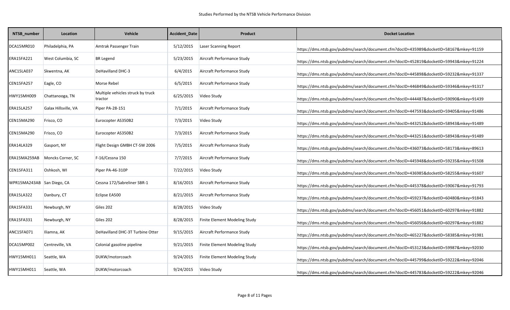| NTSB_number                | Location             | Vehicle                                      | Accident_Date | Product                       | <b>Docket Location</b>                                                                 |
|----------------------------|----------------------|----------------------------------------------|---------------|-------------------------------|----------------------------------------------------------------------------------------|
| DCA15MR010                 | Philadelphia, PA     | Amtrak Passenger Train                       | 5/12/2015     | <b>Laser Scanning Report</b>  | https://dms.ntsb.gov/pubdms/search/document.cfm?docID=435989&docketID=58167&mkey=91159 |
| ERA15FA221                 | West Columbia, SC    | <b>BR</b> Legend                             | 5/23/2015     | Aircraft Performance Study    | https://dms.ntsb.gov/pubdms/search/document.cfm?docID=452819&docketID=59943&mkey=91224 |
| ANC15LA037                 | Skwentna, AK         | <b>DeHavilland DHC-3</b>                     | 6/4/2015      | Aircraft Performance Study    | https://dms.ntsb.gov/pubdms/search/document.cfm?docID=445898&docketID=59232&mkey=91337 |
| CEN15FA257                 | Eagle, CO            | Morse Rebel                                  | 6/5/2015      | Aircraft Performance Study    | https://dms.ntsb.gov/pubdms/search/document.cfm?docID=446849&docketID=59346&mkey=91317 |
| HWY15MH009                 | Chattanooga, TN      | Multiple vehicles struck by truck<br>tractor | 6/25/2015     | Video Study                   | https://dms.ntsb.gov/pubdms/search/document.cfm?docID=444487&docketID=59090&mkey=91439 |
| ERA15LA257                 | Galax Hillsville, VA | Piper PA-28-151                              | 7/1/2015      | Aircraft Performance Study    | https://dms.ntsb.gov/pubdms/search/document.cfm?docID=447593&docketID=59405&mkey=91486 |
| CEN15MA290                 | Frisco, CO           | Eurocopter AS350B2                           | 7/3/2015      | Video Study                   | https://dms.ntsb.gov/pubdms/search/document.cfm?docID=443252&docketID=58943&mkey=91489 |
| CEN15MA290                 | Frisco, CO           | Eurocopter AS350B2                           | 7/3/2015      | Aircraft Performance Study    | https://dms.ntsb.gov/pubdms/search/document.cfm?docID=443251&docketID=58943&mkey=91489 |
| ERA14LA329                 | Gasport, NY          | Flight Design GMBH CT-SW 2006                | 7/5/2015      | Aircraft Performance Study    | https://dms.ntsb.gov/pubdms/search/document.cfm?docID=436073&docketID=58173&mkey=89613 |
| ERA15MA259AB               | Moncks Corner, SC    | F-16/Cessna 150                              | 7/7/2015      | Aircraft Performance Study    | https://dms.ntsb.gov/pubdms/search/document.cfm?docID=445948&docketID=59235&mkey=91508 |
| CEN15FA311                 | Oshkosh, WI          | Piper PA-46-310P                             | 7/22/2015     | Video Study                   | https://dms.ntsb.gov/pubdms/search/document.cfm?docID=436985&docketID=58255&mkey=91607 |
| WPR15MA243AB San Diego, CA |                      | Cessna 172/Sabreliner SBR-1                  | 8/16/2015     | Aircraft Performance Study    | https://dms.ntsb.gov/pubdms/search/document.cfm?docID=445378&docketID=59067&mkey=91793 |
| ERA15LA322                 | Danbury, CT          | Eclipse EA500                                | 8/21/2015     | Aircraft Performance Study    | https://dms.ntsb.gov/pubdms/search/document.cfm?docID=459237&docketID=60480&mkey=91843 |
| ERA15FA331                 | Newburgh, NY         | Giles 202                                    | 8/28/2015     | Video Study                   | https://dms.ntsb.gov/pubdms/search/document.cfm?docID=456051&docketID=60297&mkey=91882 |
| ERA15FA331                 | Newburgh, NY         | Giles 202                                    | 8/28/2015     | Finite Element Modeling Study | https://dms.ntsb.gov/pubdms/search/document.cfm?docID=456056&docketID=60297&mkey=91882 |
| ANC15FA071                 | Iliamna, AK          | DeHavilland DHC-3T Turbine Otter             | 9/15/2015     | Aircraft Performance Study    | https://dms.ntsb.gov/pubdms/search/document.cfm?docID=465227&docketID=58385&mkey=91981 |
| DCA15MP002                 | Centreville, VA      | Colonial gasoline pipeline                   | 9/21/2015     | Finite Element Modeling Study | https://dms.ntsb.gov/pubdms/search/document.cfm?docID=453123&docketID=59987&mkey=92030 |
| HWY15MH011                 | Seattle, WA          | DUKW/motorcoach                              | 9/24/2015     | Finite Element Modeling Study | https://dms.ntsb.gov/pubdms/search/document.cfm?docID=445799&docketID=59222&mkey=92046 |
| HWY15MH011                 | Seattle, WA          | DUKW/motorcoach                              | 9/24/2015     | Video Study                   | https://dms.ntsb.gov/pubdms/search/document.cfm?docID=445783&docketID=59222&mkey=92046 |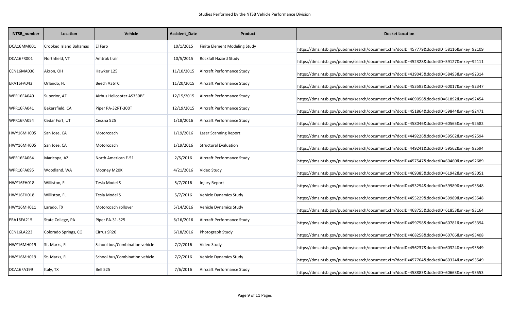| NTSB_number | Location                      | Vehicle                        | Accident_Date | Product                              | <b>Docket Location</b>                                                                 |
|-------------|-------------------------------|--------------------------------|---------------|--------------------------------------|----------------------------------------------------------------------------------------|
| DCA16MM001  | <b>Crooked Island Bahamas</b> | El Faro                        | 10/1/2015     | <b>Finite Element Modeling Study</b> | https://dms.ntsb.gov/pubdms/search/document.cfm?docID=457779&docketID=58116&mkey=92109 |
| DCA16FR001  | Northfield, VT                | Amtrak train                   | 10/5/2015     | Rockfall Hazard Study                | https://dms.ntsb.gov/pubdms/search/document.cfm?docID=452328&docketID=59127&mkey=92111 |
| CEN16MA036  | Akron, OH                     | Hawker 125                     | 11/10/2015    | Aircraft Performance Study           | https://dms.ntsb.gov/pubdms/search/document.cfm?docID=439045&docketID=58493&mkey=92314 |
| ERA16FA043  | Orlando, FL                   | Beech A36TC                    | 11/20/2015    | Aircraft Performance Study           | https://dms.ntsb.gov/pubdms/search/document.cfm?docID=453593&docketID=60017&mkey=92347 |
| WPR16FA040  | Superior, AZ                  | Airbus Helicopter AS350BE      | 12/15/2015    | Aircraft Performance Study           | https://dms.ntsb.gov/pubdms/search/document.cfm?docID=469056&docketID=61892&mkey=92454 |
| WPR16FA041  | Bakersfield, CA               | Piper PA-32RT-300T             | 12/19/2015    | Aircraft Performance Study           | https://dms.ntsb.gov/pubdms/search/document.cfm?docID=451864&docketID=59844&mkey=92471 |
| WPR16FA054  | Cedar Fort, UT                | Cessna 525                     | 1/18/2016     | Aircraft Performance Study           | https://dms.ntsb.gov/pubdms/search/document.cfm?docID=458046&docketID=60565&mkey=92582 |
| HWY16MH005  | San Jose, CA                  | Motorcoach                     | 1/19/2016     | Laser Scanning Report                | https://dms.ntsb.gov/pubdms/search/document.cfm?docID=449226&docketID=59562&mkey=92594 |
| HWY16MH005  | San Jose, CA                  | Motorcoach                     | 1/19/2016     | <b>Structural Evaluation</b>         | https://dms.ntsb.gov/pubdms/search/document.cfm?docID=449241&docketID=59562&mkey=92594 |
| WPR16FA064  | Maricopa, AZ                  | North American F-51            | 2/5/2016      | Aircraft Performance Study           | https://dms.ntsb.gov/pubdms/search/document.cfm?docID=457547&docketID=60460&mkey=92689 |
| WPR16FA095  | Woodland, WA                  | Mooney M20K                    | 4/21/2016     | Video Study                          | https://dms.ntsb.gov/pubdms/search/document.cfm?docID=469385&docketID=61942&mkey=93051 |
| HWY16FH018  | Williston, FL                 | Tesla Model S                  | 5/7/2016      | <b>Injury Report</b>                 | https://dms.ntsb.gov/pubdms/search/document.cfm?docID=453254&docketID=59989&mkey=93548 |
| HWY16FH018  | Williston, FL                 | Tesla Model S                  | 5/7/2016      | Vehicle Dynamics Study               | https://dms.ntsb.gov/pubdms/search/document.cfm?docID=455229&docketID=59989&mkey=93548 |
| HWY16MH011  | Laredo, TX                    | Motorcoach rollover            | 5/14/2016     | Vehicle Dynamics Study               | https://dms.ntsb.gov/pubdms/search/document.cfm?docID=468755&docketID=61853&mkey=93164 |
| ERA16FA215  | State College, PA             | Piper PA-31-325                | 6/16/2016     | Aircraft Performance Study           | https://dms.ntsb.gov/pubdms/search/document.cfm?docID=459758&docketID=60781&mkey=93394 |
| CEN16LA223  | Colorado Springs, CO          | Cirrus SR20                    | 6/18/2016     | Photograph Study                     | https://dms.ntsb.gov/pubdms/search/document.cfm?docID=468258&docketID=60766&mkey=93408 |
| HWY16MH019  | St. Marks, FL                 | School bus/Combination vehicle | 7/2/2016      | Video Study                          | https://dms.ntsb.gov/pubdms/search/document.cfm?docID=456237&docketID=60324&mkey=93549 |
| HWY16MH019  | St. Marks, FL                 | School bus/Combination vehicle | 7/2/2016      | Vehicle Dynamics Study               | https://dms.ntsb.gov/pubdms/search/document.cfm?docID=457764&docketID=60324&mkey=93549 |
| DCA16FA199  | Italy, TX                     | <b>Bell 525</b>                | 7/6/2016      | Aircraft Performance Study           | https://dms.ntsb.gov/pubdms/search/document.cfm?docID=458883&docketID=60663&mkey=93553 |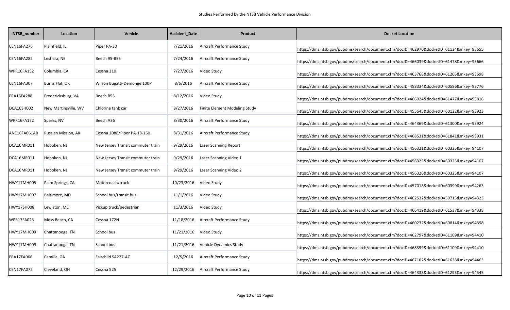| NTSB_number  | Location             | Vehicle                           | Accident_Date | Product                       | <b>Docket Location</b>                                                                 |
|--------------|----------------------|-----------------------------------|---------------|-------------------------------|----------------------------------------------------------------------------------------|
| CEN16FA276   | Plainfield, IL       | Piper PA-30                       | 7/21/2016     | Aircraft Performance Study    | https://dms.ntsb.gov/pubdms/search/document.cfm?docID=462970&docketID=61124&mkey=93655 |
| CEN16FA282   | Leshara, NE          | Beech 95-B55                      | 7/24/2016     | Aircraft Performance Study    | https://dms.ntsb.gov/pubdms/search/document.cfm?docID=466039&docketID=61478&mkey=93666 |
| WPR16FA152   | Columbia, CA         | Cessna 310                        | 7/27/2016     | Video Study                   | https://dms.ntsb.gov/pubdms/search/document.cfm?docID=463768&docketID=61205&mkey=93698 |
| CEN16FA307   | Burns Flat, OK       | Wilson Bugatti-Demonge 100P       | 8/6/2016      | Aircraft Performance Study    | https://dms.ntsb.gov/pubdms/search/document.cfm?docID=458334&docketID=60586&mkey=93776 |
| ERA16FA288   | Fredericksburg, VA   | Beech B55                         | 8/12/2016     | Video Study                   | https://dms.ntsb.gov/pubdms/search/document.cfm?docID=466024&docketID=61477&mkey=93816 |
| DCA16SH002   | New Martinsville, WV | Chlorine tank car                 | 8/27/2016     | Finite Element Modeling Study | https://dms.ntsb.gov/pubdms/search/document.cfm?docID=455645&docketID=60122&mkey=93923 |
| WPR16FA172   | Sparks, NV           | Beech A36                         | 8/30/2016     | Aircraft Performance Study    | https://dms.ntsb.gov/pubdms/search/document.cfm?docID=464369&docketID=61300&mkey=93924 |
| ANC16FA061AB | Russian Mission, AK  | Cessna 208B/Piper PA-18-150       | 8/31/2016     | Aircraft Performance Study    | https://dms.ntsb.gov/pubdms/search/document.cfm?docID=468531&docketID=61841&mkey=93931 |
| DCA16MR011   | Hoboken, NJ          | New Jersey Transit commuter train | 9/29/2016     | Laser Scanning Report         | https://dms.ntsb.gov/pubdms/search/document.cfm?docID=456321&docketID=60325&mkey=94107 |
| DCA16MR011   | Hoboken, NJ          | New Jersey Transit commuter train | 9/29/2016     | Laser Scanning Video 1        | https://dms.ntsb.gov/pubdms/search/document.cfm?docID=456325&docketID=60325&mkey=94107 |
| DCA16MR011   | Hoboken, NJ          | New Jersey Transit commuter train | 9/29/2016     | Laser Scanning Video 2        | https://dms.ntsb.gov/pubdms/search/document.cfm?docID=456326&docketID=60325&mkey=94107 |
| HWY17MH005   | Palm Springs, CA     | Motorcoach/truck                  | 10/23/2016    | Video Study                   | https://dms.ntsb.gov/pubdms/search/document.cfm?docID=457018&docketID=60399&mkey=94263 |
| HWY17MH007   | Baltimore, MD        | School bus/transit bus            | 11/1/2016     | Video Study                   | https://dms.ntsb.gov/pubdms/search/document.cfm?docID=462532&docketID=59715&mkey=94323 |
| HWY17SH008   | Lewiston, ME         | Pickup truck/pedestrian           | 11/3/2016     | Video Study                   | https://dms.ntsb.gov/pubdms/search/document.cfm?docID=466419&docketID=61537&mkey=94338 |
| WPR17FA023   | Moss Beach, CA       | Cessna 172N                       | 11/18/2016    | Aircraft Performance Study    | https://dms.ntsb.gov/pubdms/search/document.cfm?docID=460232&docketID=60814&mkey=94398 |
| HWY17MH009   | Chattanooga, TN      | School bus                        | 11/21/2016    | Video Study                   | https://dms.ntsb.gov/pubdms/search/document.cfm?docID=462797&docketID=61109&mkey=94410 |
| HWY17MH009   | Chattanooga, TN      | School bus                        | 11/21/2016    | Vehicle Dynamics Study        | https://dms.ntsb.gov/pubdms/search/document.cfm?docID=468399&docketID=61109&mkey=94410 |
| ERA17FA066   | Camilla, GA          | Fairchild SA227-AC                | 12/5/2016     | Aircraft Performance Study    | https://dms.ntsb.gov/pubdms/search/document.cfm?docID=467102&docketID=61638&mkey=94463 |
| CEN17FA072   | Cleveland, OH        | Cessna 525                        | 12/29/2016    | Aircraft Performance Study    | https://dms.ntsb.gov/pubdms/search/document.cfm?docID=464338&docketID=61293&mkey=94545 |